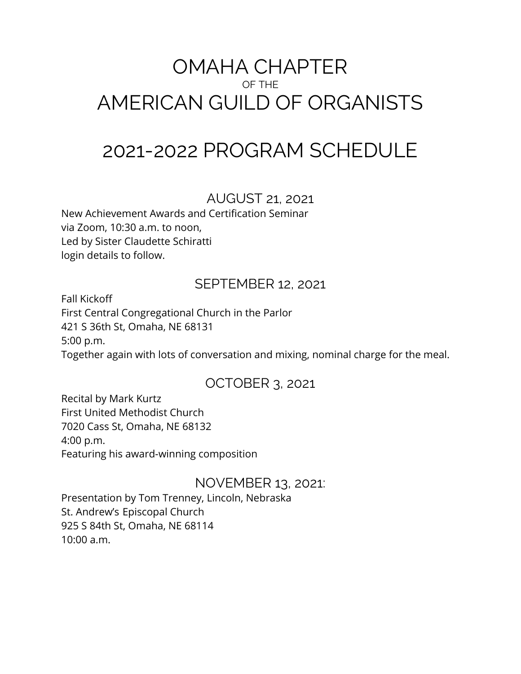# OMAHA CHAPTER OF THE AMERICAN GUILD OF ORGANISTS

# 2021-2022 PROGRAM SCHEDULE

#### AUGUST 21, 2021

New Achievement Awards and Certification Seminar via Zoom, 10:30 a.m. to noon, Led by Sister Claudette Schiratti login details to follow.

# SEPTEMBER 12, 2021

Fall Kickoff First Central Congregational Church in the Parlor 421 S 36th St, Omaha, NE 68131 5:00 p.m. Together again with lots of conversation and mixing, nominal charge for the meal.

# OCTOBER 3, 2021

Recital by Mark Kurtz First United Methodist Church 7020 Cass St, Omaha, NE 68132 4:00 p.m. Featuring his award-winning composition

#### NOVEMBER 13, 2021:

Presentation by Tom Trenney, Lincoln, Nebraska St. Andrew's Episcopal Church 925 S 84th St, Omaha, NE 68114 10:00 a.m.